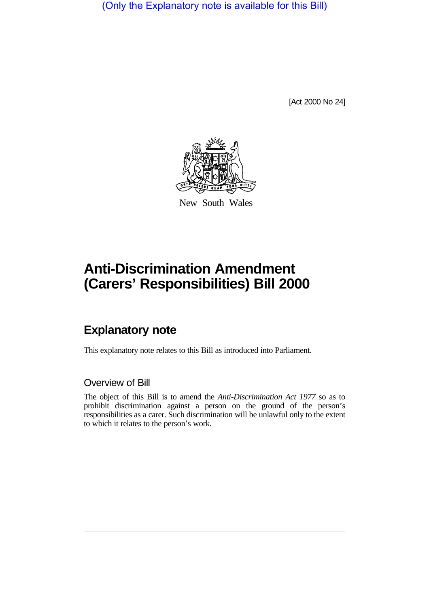(Only the Explanatory note is available for this Bill)

[Act 2000 No 24]



New South Wales

# **Anti-Discrimination Amendment (Carers' Responsibilities) Bill 2000**

# **Explanatory note**

This explanatory note relates to this Bill as introduced into Parliament.

## Overview of Bill

The object of this Bill is to amend the *Anti-Discrimination Act 1977* so as to prohibit discrimination against a person on the ground of the person's responsibilities as a carer. Such discrimination will be unlawful only to the extent to which it relates to the person's work.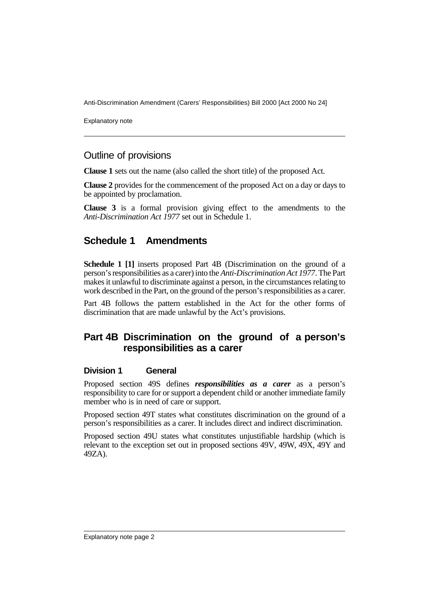Anti-Discrimination Amendment (Carers' Responsibilities) Bill 2000 [Act 2000 No 24]

Explanatory note

#### Outline of provisions

**Clause 1** sets out the name (also called the short title) of the proposed Act.

**Clause 2** provides for the commencement of the proposed Act on a day or days to be appointed by proclamation.

**Clause 3** is a formal provision giving effect to the amendments to the *Anti-Discrimination Act 1977* set out in Schedule 1.

## **Schedule 1 Amendments**

**Schedule 1 [1]** inserts proposed Part 4B (Discrimination on the ground of a person's responsibilities as a carer) into the *Anti-Discrimination Act 1977*. The Part makes it unlawful to discriminate against a person, in the circumstances relating to work described in the Part, on the ground of the person's responsibilities as a carer.

Part 4B follows the pattern established in the Act for the other forms of discrimination that are made unlawful by the Act's provisions.

## **Part 4B Discrimination on the ground of a person's responsibilities as a carer**

#### **Division 1 General**

Proposed section 49S defines *responsibilities as a carer* as a person's responsibility to care for or support a dependent child or another immediate family member who is in need of care or support.

Proposed section 49T states what constitutes discrimination on the ground of a person's responsibilities as a carer. It includes direct and indirect discrimination.

Proposed section 49U states what constitutes unjustifiable hardship (which is relevant to the exception set out in proposed sections 49V, 49W, 49X, 49Y and 49ZA).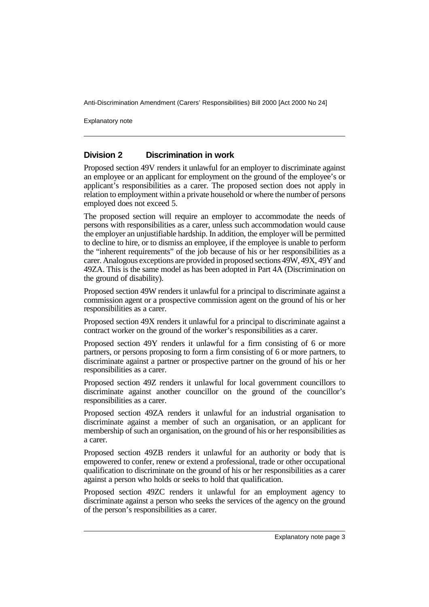Anti-Discrimination Amendment (Carers' Responsibilities) Bill 2000 [Act 2000 No 24]

Explanatory note

#### **Division 2 Discrimination in work**

Proposed section 49V renders it unlawful for an employer to discriminate against an employee or an applicant for employment on the ground of the employee's or applicant's responsibilities as a carer. The proposed section does not apply in relation to employment within a private household or where the number of persons employed does not exceed 5.

The proposed section will require an employer to accommodate the needs of persons with responsibilities as a carer, unless such accommodation would cause the employer an unjustifiable hardship. In addition, the employer will be permitted to decline to hire, or to dismiss an employee, if the employee is unable to perform the "inherent requirements" of the job because of his or her responsibilities as a carer. Analogous exceptions are provided in proposed sections 49W, 49X, 49Y and 49ZA. This is the same model as has been adopted in Part 4A (Discrimination on the ground of disability).

Proposed section 49W renders it unlawful for a principal to discriminate against a commission agent or a prospective commission agent on the ground of his or her responsibilities as a carer.

Proposed section 49X renders it unlawful for a principal to discriminate against a contract worker on the ground of the worker's responsibilities as a carer.

Proposed section 49Y renders it unlawful for a firm consisting of 6 or more partners, or persons proposing to form a firm consisting of 6 or more partners, to discriminate against a partner or prospective partner on the ground of his or her responsibilities as a carer.

Proposed section 49Z renders it unlawful for local government councillors to discriminate against another councillor on the ground of the councillor's responsibilities as a carer.

Proposed section 49ZA renders it unlawful for an industrial organisation to discriminate against a member of such an organisation, or an applicant for membership of such an organisation, on the ground of his or her responsibilities as a carer.

Proposed section 49ZB renders it unlawful for an authority or body that is empowered to confer, renew or extend a professional, trade or other occupational qualification to discriminate on the ground of his or her responsibilities as a carer against a person who holds or seeks to hold that qualification.

Proposed section 49ZC renders it unlawful for an employment agency to discriminate against a person who seeks the services of the agency on the ground of the person's responsibilities as a carer.